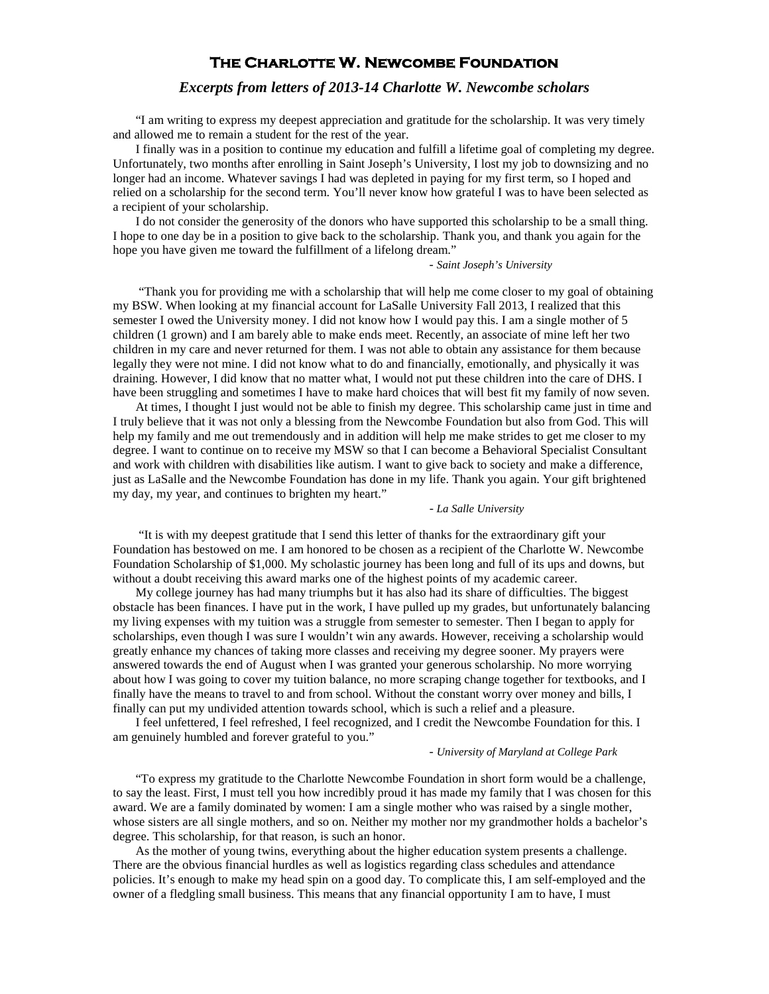# **The Charlotte W. Newcombe Foundation**

# *Excerpts from letters of 2013-14 Charlotte W. Newcombe scholars*

"I am writing to express my deepest appreciation and gratitude for the scholarship. It was very timely and allowed me to remain a student for the rest of the year.

I finally was in a position to continue my education and fulfill a lifetime goal of completing my degree. Unfortunately, two months after enrolling in Saint Joseph's University, I lost my job to downsizing and no longer had an income. Whatever savings I had was depleted in paying for my first term, so I hoped and relied on a scholarship for the second term. You'll never know how grateful I was to have been selected as a recipient of your scholarship.

I do not consider the generosity of the donors who have supported this scholarship to be a small thing. I hope to one day be in a position to give back to the scholarship. Thank you, and thank you again for the hope you have given me toward the fulfillment of a lifelong dream."

### *- Saint Joseph's University*

"Thank you for providing me with a scholarship that will help me come closer to my goal of obtaining my BSW. When looking at my financial account for LaSalle University Fall 2013, I realized that this semester I owed the University money. I did not know how I would pay this. I am a single mother of 5 children (1 grown) and I am barely able to make ends meet. Recently, an associate of mine left her two children in my care and never returned for them. I was not able to obtain any assistance for them because legally they were not mine. I did not know what to do and financially, emotionally, and physically it was draining. However, I did know that no matter what, I would not put these children into the care of DHS. I have been struggling and sometimes I have to make hard choices that will best fit my family of now seven.

At times, I thought I just would not be able to finish my degree. This scholarship came just in time and I truly believe that it was not only a blessing from the Newcombe Foundation but also from God. This will help my family and me out tremendously and in addition will help me make strides to get me closer to my degree. I want to continue on to receive my MSW so that I can become a Behavioral Specialist Consultant and work with children with disabilities like autism. I want to give back to society and make a difference, just as LaSalle and the Newcombe Foundation has done in my life. Thank you again. Your gift brightened my day, my year, and continues to brighten my heart."

#### - *La Salle University*

"It is with my deepest gratitude that I send this letter of thanks for the extraordinary gift your Foundation has bestowed on me. I am honored to be chosen as a recipient of the Charlotte W. Newcombe Foundation Scholarship of \$1,000. My scholastic journey has been long and full of its ups and downs, but without a doubt receiving this award marks one of the highest points of my academic career.

My college journey has had many triumphs but it has also had its share of difficulties. The biggest obstacle has been finances. I have put in the work, I have pulled up my grades, but unfortunately balancing my living expenses with my tuition was a struggle from semester to semester. Then I began to apply for scholarships, even though I was sure I wouldn't win any awards. However, receiving a scholarship would greatly enhance my chances of taking more classes and receiving my degree sooner. My prayers were answered towards the end of August when I was granted your generous scholarship. No more worrying about how I was going to cover my tuition balance, no more scraping change together for textbooks, and I finally have the means to travel to and from school. Without the constant worry over money and bills, I finally can put my undivided attention towards school, which is such a relief and a pleasure.

I feel unfettered, I feel refreshed, I feel recognized, and I credit the Newcombe Foundation for this. I am genuinely humbled and forever grateful to you."

### *- University of Maryland at College Park*

"To express my gratitude to the Charlotte Newcombe Foundation in short form would be a challenge, to say the least. First, I must tell you how incredibly proud it has made my family that I was chosen for this award. We are a family dominated by women: I am a single mother who was raised by a single mother, whose sisters are all single mothers, and so on. Neither my mother nor my grandmother holds a bachelor's degree. This scholarship, for that reason, is such an honor.

As the mother of young twins, everything about the higher education system presents a challenge. There are the obvious financial hurdles as well as logistics regarding class schedules and attendance policies. It's enough to make my head spin on a good day. To complicate this, I am self-employed and the owner of a fledgling small business. This means that any financial opportunity I am to have, I must